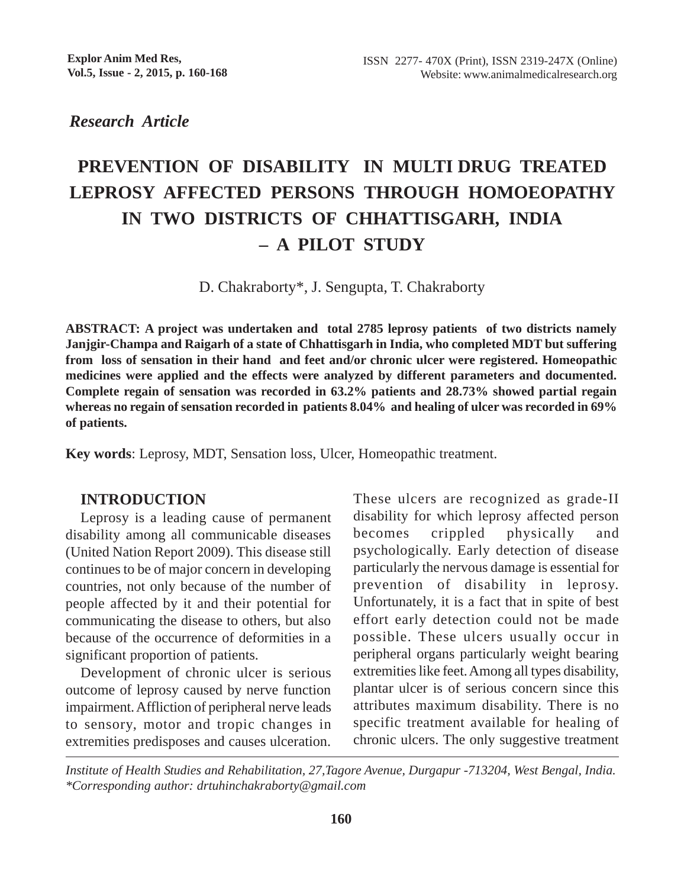*Research Article*

# **PREVENTION OF DISABILITY IN MULTI DRUG TREATED LEPROSY AFFECTED PERSONS THROUGH HOMOEOPATHY IN TWO DISTRICTS OF CHHATTISGARH, INDIA – A PILOT STUDY**

D. Chakraborty\*, J. Sengupta, T. Chakraborty

**ABSTRACT: A project was undertaken and total 2785 leprosy patients of two districts namely Janjgir-Champa and Raigarh of a state of Chhattisgarh in India, who completed MDT but suffering from loss of sensation in their hand and feet and/or chronic ulcer were registered. Homeopathic medicines were applied and the effects were analyzed by different parameters and documented. Complete regain of sensation was recorded in 63.2% patients and 28.73% showed partial regain whereas no regain of sensation recorded in patients 8.04% and healing of ulcer was recorded in 69% of patients.**

**Key words**: Leprosy, MDT, Sensation loss, Ulcer, Homeopathic treatment.

### **INTRODUCTION**

Leprosy is a leading cause of permanent disability among all communicable diseases (United Nation Report 2009). This disease still continues to be of major concern in developing countries, not only because of the number of people affected by it and their potential for communicating the disease to others, but also because of the occurrence of deformities in a significant proportion of patients.

Development of chronic ulcer is serious outcome of leprosy caused by nerve function impairment. Affliction of peripheral nerve leads to sensory, motor and tropic changes in extremities predisposes and causes ulceration. These ulcers are recognized as grade-II disability for which leprosy affected person becomes crippled physically and psychologically. Early detection of disease particularly the nervous damage is essential for prevention of disability in leprosy. Unfortunately, it is a fact that in spite of best effort early detection could not be made possible. These ulcers usually occur in peripheral organs particularly weight bearing extremities like feet. Among all types disability, plantar ulcer is of serious concern since this attributes maximum disability. There is no specific treatment available for healing of chronic ulcers. The only suggestive treatment

*Institute of Health Studies and Rehabilitation, 27,Tagore Avenue, Durgapur -713204, West Bengal, India. \*Corresponding author: drtuhinchakraborty@gmail.com*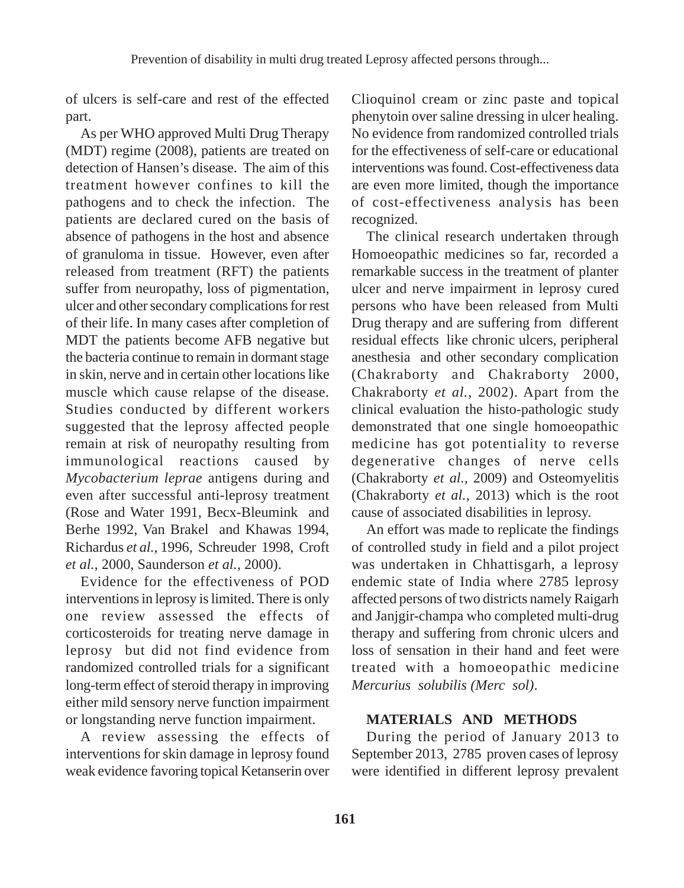of ulcers is self-care and rest of the effected part.

As per WHO approved Multi Drug Therapy (MDT) regime (2008), patients are treated on detection of Hansen's disease. The aim of this treatment however confines to kill the pathogens and to check the infection. The patients are declared cured on the basis of absence of pathogens in the host and absence of granuloma in tissue. However, even after released from treatment (RFT) the patients suffer from neuropathy, loss of pigmentation, ulcer and other secondary complications for rest of their life. In many cases after completion of MDT the patients become AFB negative but the bacteria continue to remain in dormant stage in skin, nerve and in certain other locations like muscle which cause relapse of the disease. Studies conducted by different workers suggested that the leprosy affected people remain at risk of neuropathy resulting from immunological reactions caused by *Mycobacterium leprae* antigens during and even after successful anti-leprosy treatment (Rose and Water 1991, Becx-Bleumink and Berhe 1992, Van Brakel and Khawas 1994, Richardus *et al.,* 1996, Schreuder 1998, Croft *et al.,* 2000, Saunderson *et al.,* 2000).

Evidence for the effectiveness of POD interventions in leprosy is limited. There is only one review assessed the effects of corticosteroids for treating nerve damage in leprosy but did not find evidence from randomized controlled trials for a significant long-term effect of steroid therapy in improving either mild sensory nerve function impairment or longstanding nerve function impairment.

A review assessing the effects of interventions for skin damage in leprosy found weak evidence favoring topical Ketanserin over

Clioquinol cream or zinc paste and topical phenytoin over saline dressing in ulcer healing. No evidence from randomized controlled trials for the effectiveness of self-care or educational interventions was found. Cost-effectiveness data are even more limited, though the importance of cost-effectiveness analysis has been recognized.

The clinical research undertaken through Homoeopathic medicines so far, recorded a remarkable success in the treatment of planter ulcer and nerve impairment in leprosy cured persons who have been released from Multi Drug therapy and are suffering from different residual effects like chronic ulcers, peripheral anesthesia and other secondary complication (Chakraborty and Chakraborty 2000, Chakraborty *et al.,* 2002). Apart from the clinical evaluation the histo-pathologic study demonstrated that one single homoeopathic medicine has got potentiality to reverse degenerative changes of nerve cells (Chakraborty *et al.,* 2009) and Osteomyelitis (Chakraborty *et al.,* 2013) which is the root cause of associated disabilities in leprosy.

An effort was made to replicate the findings of controlled study in field and a pilot project was undertaken in Chhattisgarh, a leprosy endemic state of India where 2785 leprosy affected persons of two districts namely Raigarh and Janjgir-champa who completed multi-drug therapy and suffering from chronic ulcers and loss of sensation in their hand and feet were treated with a homoeopathic medicine *Mercurius solubilis (Merc sol)*.

# **MATERIALS AND METHODS**

During the period of January 2013 to September 2013, 2785 proven cases of leprosy were identified in different leprosy prevalent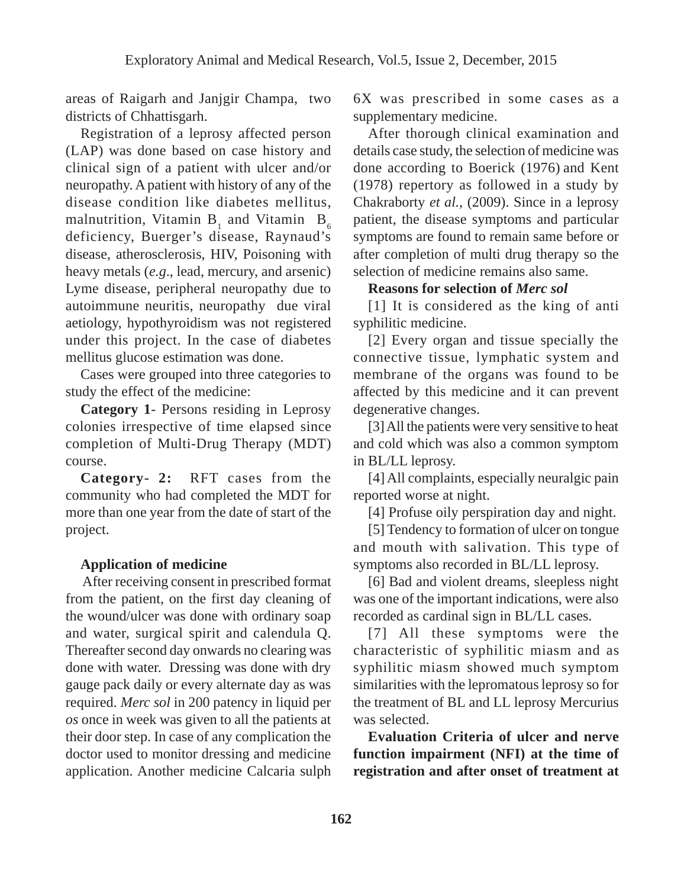areas of Raigarh and Janjgir Champa, two districts of Chhattisgarh.

Registration of a leprosy affected person (LAP) was done based on case history and clinical sign of a patient with ulcer and/or neuropathy. A patient with history of any of the disease condition like diabetes mellitus, malnutrition, Vitamin  $B_1$  and Vitamin  $B_6$ deficiency, Buerger's disease, Raynaud's disease, atherosclerosis, HIV, Poisoning with heavy metals (*e.g*., lead, mercury, and arsenic) Lyme disease, peripheral neuropathy due to autoimmune neuritis, neuropathy due viral aetiology, hypothyroidism was not registered under this project. In the case of diabetes mellitus glucose estimation was done.

Cases were grouped into three categories to study the effect of the medicine:

**Category 1**- Persons residing in Leprosy colonies irrespective of time elapsed since completion of Multi-Drug Therapy (MDT) course.

**Category- 2:** RFT cases from the community who had completed the MDT for more than one year from the date of start of the project.

# **Application of medicine**

 After receiving consent in prescribed format from the patient, on the first day cleaning of the wound/ulcer was done with ordinary soap and water, surgical spirit and calendula Q. Thereafter second day onwards no clearing was done with water. Dressing was done with dry gauge pack daily or every alternate day as was required. *Merc sol* in 200 patency in liquid per *os* once in week was given to all the patients at their door step. In case of any complication the doctor used to monitor dressing and medicine application. Another medicine Calcaria sulph 6X was prescribed in some cases as a supplementary medicine.

After thorough clinical examination and details case study, the selection of medicine was done according to Boerick (1976) and Kent (1978) repertory as followed in a study by Chakraborty *et al.,* (2009). Since in a leprosy patient, the disease symptoms and particular symptoms are found to remain same before or after completion of multi drug therapy so the selection of medicine remains also same.

## **Reasons for selection of** *Merc sol*

[1] It is considered as the king of anti syphilitic medicine.

[2] Every organ and tissue specially the connective tissue, lymphatic system and membrane of the organs was found to be affected by this medicine and it can prevent degenerative changes.

[3] All the patients were very sensitive to heat and cold which was also a common symptom in BL/LL leprosy.

[4] All complaints, especially neuralgic pain reported worse at night.

[4] Profuse oily perspiration day and night.

[5] Tendency to formation of ulcer on tongue and mouth with salivation. This type of symptoms also recorded in BL/LL leprosy.

[6] Bad and violent dreams, sleepless night was one of the important indications, were also recorded as cardinal sign in BL/LL cases.

[7] All these symptoms were the characteristic of syphilitic miasm and as syphilitic miasm showed much symptom similarities with the lepromatous leprosy so for the treatment of BL and LL leprosy Mercurius was selected.

**Evaluation Criteria of ulcer and nerve function impairment (NFI) at the time of registration and after onset of treatment at**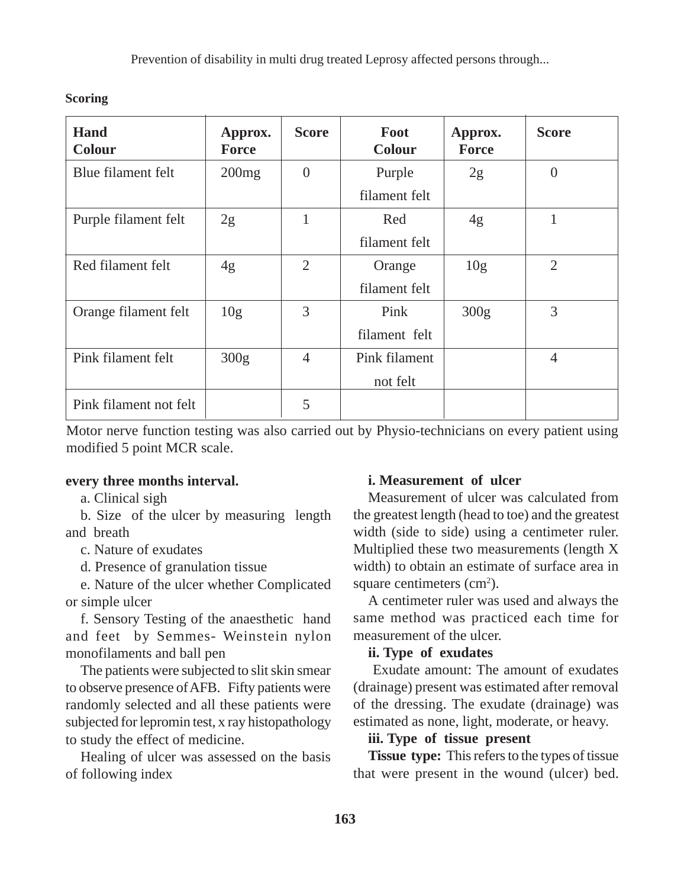Prevention of disability in multi drug treated Leprosy affected persons through...

| Hand<br>Colour         | Approx.<br>Force | <b>Score</b> | Foot<br>Colour | Approx.<br><b>Force</b> | <b>Score</b>   |
|------------------------|------------------|--------------|----------------|-------------------------|----------------|
| Blue filament felt     | 200mg            | $\theta$     | Purple         | 2g                      | $\overline{0}$ |
|                        |                  |              | filament felt  |                         |                |
| Purple filament felt   | 2g               | $\mathbf{1}$ | Red            | 4g                      | 1              |
|                        |                  |              | filament felt  |                         |                |
| Red filament felt      | 4g               | 2            | Orange         | 10 <sub>g</sub>         | $\overline{2}$ |
|                        |                  |              | filament felt  |                         |                |
| Orange filament felt   | 10 <sub>g</sub>  | 3            | Pink           | 300g                    | 3              |
|                        |                  |              | filament felt  |                         |                |
| Pink filament felt     | 300g             | 4            | Pink filament  |                         | $\overline{4}$ |
|                        |                  |              | not felt       |                         |                |
| Pink filament not felt |                  | 5            |                |                         |                |

**Scoring**

Motor nerve function testing was also carried out by Physio-technicians on every patient using modified 5 point MCR scale.

#### **every three months interval.**

a. Clinical sigh

b. Size of the ulcer by measuring length and breath

c. Nature of exudates

d. Presence of granulation tissue

e. Nature of the ulcer whether Complicated or simple ulcer

f. Sensory Testing of the anaesthetic hand and feet by Semmes- Weinstein nylon monofilaments and ball pen

The patients were subjected to slit skin smear to observe presence of AFB. Fifty patients were randomly selected and all these patients were subjected for lepromin test, x ray histopathology to study the effect of medicine.

Healing of ulcer was assessed on the basis of following index

#### **i. Measurement of ulcer**

Measurement of ulcer was calculated from the greatest length (head to toe) and the greatest width (side to side) using a centimeter ruler. Multiplied these two measurements (length X width) to obtain an estimate of surface area in square centimeters  $(cm<sup>2</sup>)$ .

A centimeter ruler was used and always the same method was practiced each time for measurement of the ulcer.

#### **ii. Type of exudates**

 Exudate amount: The amount of exudates (drainage) present was estimated after removal of the dressing. The exudate (drainage) was estimated as none, light, moderate, or heavy.

### **iii. Type of tissue present**

**Tissue type:** This refers to the types of tissue that were present in the wound (ulcer) bed.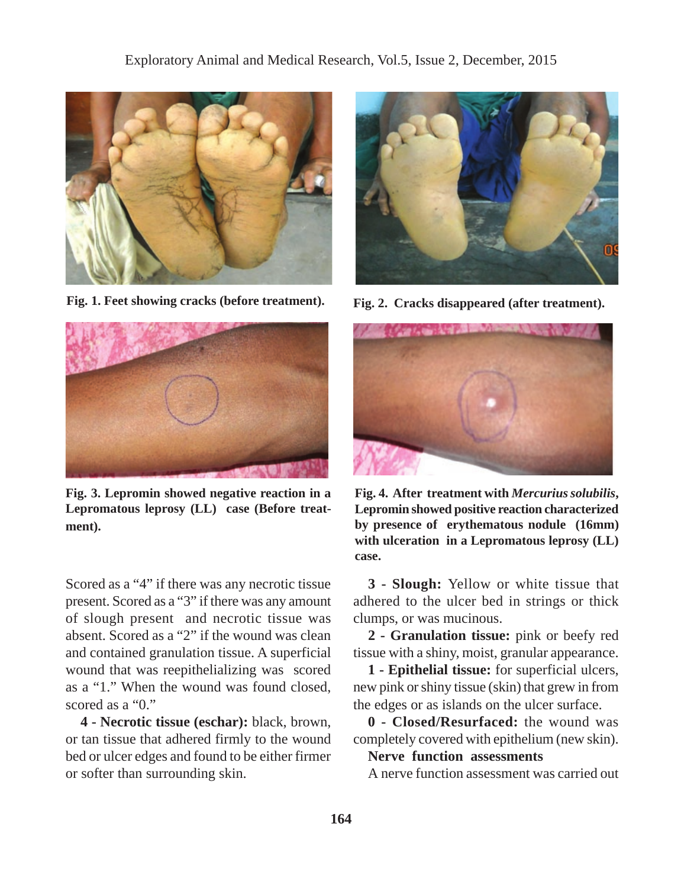

**Fig. 1. Feet showing cracks (before treatment). Fig. 2. Cracks disappeared (after treatment).**



**Fig. 3. Lepromin showed negative reaction in a Lepromatous leprosy (LL) case (Before treatment).**

Scored as a "4" if there was any necrotic tissue present. Scored as a "3" if there was any amount of slough present and necrotic tissue was absent. Scored as a "2" if the wound was clean and contained granulation tissue. A superficial wound that was reepithelializing was scored as a "1." When the wound was found closed, scored as a "0."

**4 - Necrotic tissue (eschar):** black, brown, or tan tissue that adhered firmly to the wound bed or ulcer edges and found to be either firmer or softer than surrounding skin.





**Fig. 4. After treatment with** *Mercurius solubilis***, Lepromin showed positive reaction characterized by presence of erythematous nodule (16mm) with ulceration in a Lepromatous leprosy (LL) case.**

**3 - Slough:** Yellow or white tissue that adhered to the ulcer bed in strings or thick clumps, or was mucinous.

**2 - Granulation tissue:** pink or beefy red tissue with a shiny, moist, granular appearance.

**1 - Epithelial tissue:** for superficial ulcers, new pink or shiny tissue (skin) that grew in from the edges or as islands on the ulcer surface.

**0 - Closed/Resurfaced:** the wound was completely covered with epithelium (new skin).

## **Nerve function assessments**

A nerve function assessment was carried out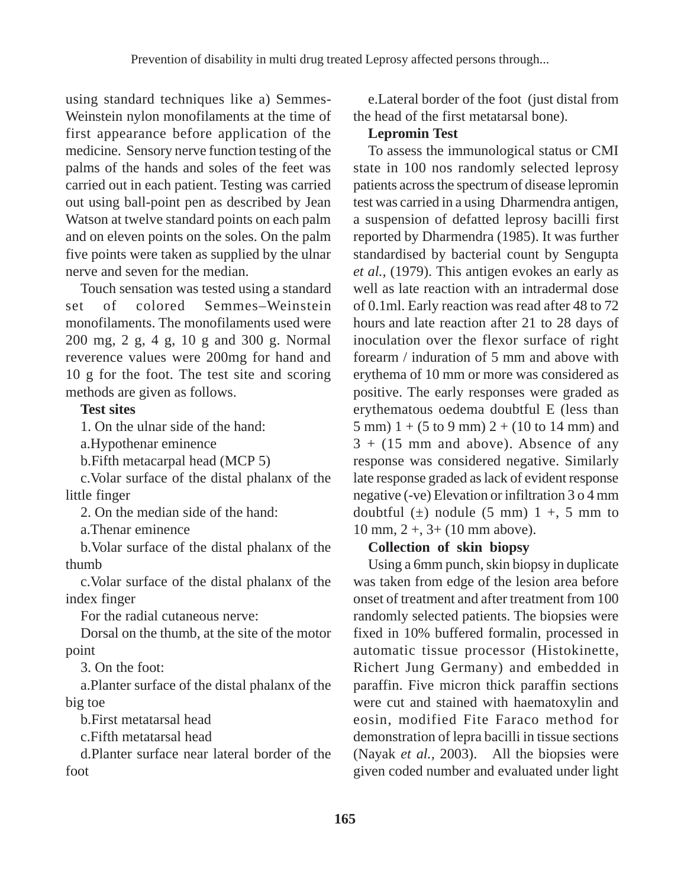using standard techniques like a) Semmes-Weinstein nylon monofilaments at the time of first appearance before application of the medicine. Sensory nerve function testing of the palms of the hands and soles of the feet was carried out in each patient. Testing was carried out using ball-point pen as described by Jean Watson at twelve standard points on each palm and on eleven points on the soles. On the palm five points were taken as supplied by the ulnar nerve and seven for the median.

Touch sensation was tested using a standard set of colored Semmes–Weinstein monofilaments. The monofilaments used were 200 mg, 2 g, 4 g, 10 g and 300 g. Normal reverence values were 200mg for hand and 10 g for the foot. The test site and scoring methods are given as follows.

### **Test sites**

1. On the ulnar side of the hand:

a.Hypothenar eminence

b.Fifth metacarpal head (MCP 5)

c.Volar surface of the distal phalanx of the little finger

2. On the median side of the hand:

a.Thenar eminence

b.Volar surface of the distal phalanx of the thumb

c.Volar surface of the distal phalanx of the index finger

For the radial cutaneous nerve:

Dorsal on the thumb, at the site of the motor point

3. On the foot:

a.Planter surface of the distal phalanx of the big toe

b.First metatarsal head

c.Fifth metatarsal head

d.Planter surface near lateral border of the foot

e.Lateral border of the foot (just distal from the head of the first metatarsal bone).

# **Lepromin Test**

To assess the immunological status or CMI state in 100 nos randomly selected leprosy patients across the spectrum of disease lepromin test was carried in a using Dharmendra antigen, a suspension of defatted leprosy bacilli first reported by Dharmendra (1985). It was further standardised by bacterial count by Sengupta *et al.,* (1979). This antigen evokes an early as well as late reaction with an intradermal dose of 0.1ml. Early reaction was read after 48 to 72 hours and late reaction after 21 to 28 days of inoculation over the flexor surface of right forearm / induration of 5 mm and above with erythema of 10 mm or more was considered as positive. The early responses were graded as erythematous oedema doubtful E (less than 5 mm)  $1 + (5 \text{ to } 9 \text{ mm}) 2 + (10 \text{ to } 14 \text{ mm})$  and  $3 + (15)$  mm and above). Absence of any response was considered negative. Similarly late response graded as lack of evident response negative (-ve) Elevation or infiltration 3 o 4 mm doubtful  $(\pm)$  nodule  $(5 \text{ mm})$  1 +, 5 mm to 10 mm, 2 +, 3+ (10 mm above).

# **Collection of skin biopsy**

Using a 6mm punch, skin biopsy in duplicate was taken from edge of the lesion area before onset of treatment and after treatment from 100 randomly selected patients. The biopsies were fixed in 10% buffered formalin, processed in automatic tissue processor (Histokinette, Richert Jung Germany) and embedded in paraffin. Five micron thick paraffin sections were cut and stained with haematoxylin and eosin, modified Fite Faraco method for demonstration of lepra bacilli in tissue sections (Nayak *et al.,* 2003). All the biopsies were given coded number and evaluated under light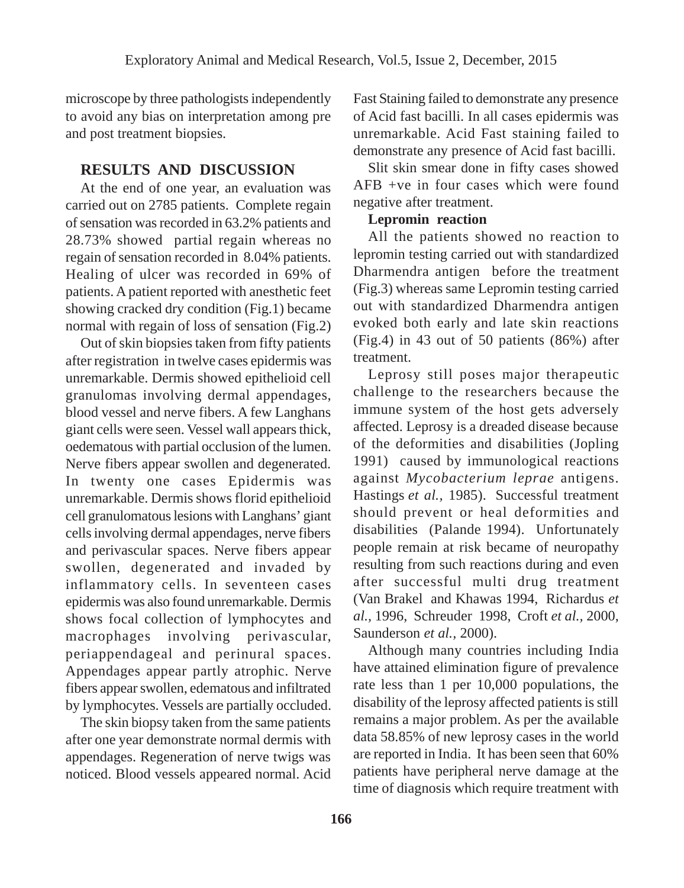microscope by three pathologists independently to avoid any bias on interpretation among pre and post treatment biopsies.

# **RESULTS AND DISCUSSION**

At the end of one year, an evaluation was carried out on 2785 patients. Complete regain of sensation was recorded in 63.2% patients and 28.73% showed partial regain whereas no regain of sensation recorded in 8.04% patients. Healing of ulcer was recorded in 69% of patients. A patient reported with anesthetic feet showing cracked dry condition (Fig.1) became normal with regain of loss of sensation (Fig.2)

Out of skin biopsies taken from fifty patients after registration in twelve cases epidermis was unremarkable. Dermis showed epithelioid cell granulomas involving dermal appendages, blood vessel and nerve fibers. A few Langhans giant cells were seen. Vessel wall appears thick, oedematous with partial occlusion of the lumen. Nerve fibers appear swollen and degenerated. In twenty one cases Epidermis was unremarkable. Dermis shows florid epithelioid cell granulomatous lesions with Langhans' giant cells involving dermal appendages, nerve fibers and perivascular spaces. Nerve fibers appear swollen, degenerated and invaded by inflammatory cells. In seventeen cases epidermis was also found unremarkable. Dermis shows focal collection of lymphocytes and macrophages involving perivascular, periappendageal and perinural spaces. Appendages appear partly atrophic. Nerve fibers appear swollen, edematous and infiltrated by lymphocytes. Vessels are partially occluded.

The skin biopsy taken from the same patients after one year demonstrate normal dermis with appendages. Regeneration of nerve twigs was noticed. Blood vessels appeared normal. Acid Fast Staining failed to demonstrate any presence of Acid fast bacilli. In all cases epidermis was unremarkable. Acid Fast staining failed to demonstrate any presence of Acid fast bacilli.

Slit skin smear done in fifty cases showed AFB +ve in four cases which were found negative after treatment.

# **Lepromin reaction**

All the patients showed no reaction to lepromin testing carried out with standardized Dharmendra antigen before the treatment (Fig.3) whereas same Lepromin testing carried out with standardized Dharmendra antigen evoked both early and late skin reactions (Fig.4) in 43 out of 50 patients (86%) after treatment.

Leprosy still poses major therapeutic challenge to the researchers because the immune system of the host gets adversely affected. Leprosy is a dreaded disease because of the deformities and disabilities (Jopling 1991) caused by immunological reactions against *Mycobacterium leprae* antigens. Hastings *et al.,* 1985). Successful treatment should prevent or heal deformities and disabilities (Palande 1994). Unfortunately people remain at risk became of neuropathy resulting from such reactions during and even after successful multi drug treatment (Van Brakel and Khawas 1994, Richardus *et al.,* 1996, Schreuder 1998, Croft *et al.,* 2000, Saunderson *et al.,* 2000).

Although many countries including India have attained elimination figure of prevalence rate less than 1 per 10,000 populations, the disability of the leprosy affected patients is still remains a major problem. As per the available data 58.85% of new leprosy cases in the world are reported in India. It has been seen that 60% patients have peripheral nerve damage at the time of diagnosis which require treatment with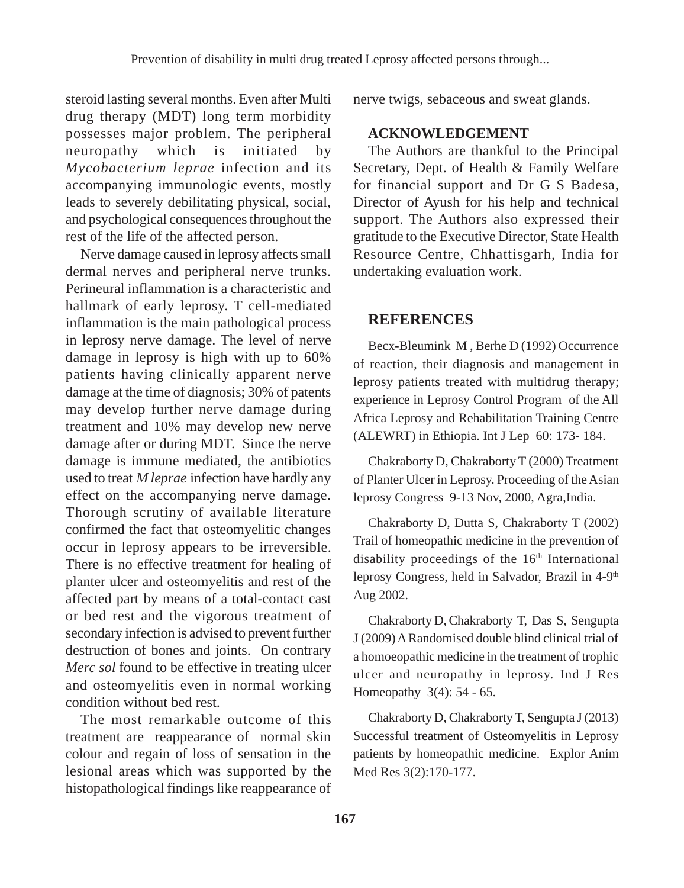steroid lasting several months. Even after Multi drug therapy (MDT) long term morbidity possesses major problem. The peripheral neuropathy which is initiated by *Mycobacterium leprae* infection and its accompanying immunologic events, mostly leads to severely debilitating physical, social, and psychological consequences throughout the rest of the life of the affected person.

Nerve damage caused in leprosy affects small dermal nerves and peripheral nerve trunks. Perineural inflammation is a characteristic and hallmark of early leprosy. T cell-mediated inflammation is the main pathological process in leprosy nerve damage. The level of nerve damage in leprosy is high with up to 60% patients having clinically apparent nerve damage at the time of diagnosis; 30% of patents may develop further nerve damage during treatment and 10% may develop new nerve damage after or during MDT. Since the nerve damage is immune mediated, the antibiotics used to treat *M leprae* infection have hardly any effect on the accompanying nerve damage. Thorough scrutiny of available literature confirmed the fact that osteomyelitic changes occur in leprosy appears to be irreversible. There is no effective treatment for healing of planter ulcer and osteomyelitis and rest of the affected part by means of a total-contact cast or bed rest and the vigorous treatment of secondary infection is advised to prevent further destruction of bones and joints. On contrary *Merc sol* found to be effective in treating ulcer and osteomyelitis even in normal working condition without bed rest.

The most remarkable outcome of this treatment are reappearance of normal skin colour and regain of loss of sensation in the lesional areas which was supported by the histopathological findings like reappearance of nerve twigs, sebaceous and sweat glands.

#### **ACKNOWLEDGEMENT**

The Authors are thankful to the Principal Secretary, Dept. of Health & Family Welfare for financial support and Dr G S Badesa, Director of Ayush for his help and technical support. The Authors also expressed their gratitude to the Executive Director, State Health Resource Centre, Chhattisgarh, India for undertaking evaluation work.

### **REFERENCES**

Becx-Bleumink M , Berhe D (1992) Occurrence of reaction, their diagnosis and management in leprosy patients treated with multidrug therapy; experience in Leprosy Control Program of the All Africa Leprosy and Rehabilitation Training Centre (ALEWRT) in Ethiopia. Int J Lep 60: 173- 184.

Chakraborty D, Chakraborty T (2000) Treatment of Planter Ulcer in Leprosy. Proceeding of the Asian leprosy Congress 9-13 Nov, 2000, Agra,India.

Chakraborty D, Dutta S, Chakraborty T (2002) Trail of homeopathic medicine in the prevention of disability proceedings of the  $16<sup>th</sup>$  International leprosy Congress, held in Salvador, Brazil in 4-9<sup>th</sup> Aug 2002.

Chakraborty D, Chakraborty T, Das S, Sengupta J (2009) A Randomised double blind clinical trial of a homoeopathic medicine in the treatment of trophic ulcer and neuropathy in leprosy. Ind J Res Homeopathy 3(4): 54 - 65.

Chakraborty D, Chakraborty T, Sengupta J (2013) Successful treatment of Osteomyelitis in Leprosy patients by homeopathic medicine. Explor Anim Med Res 3(2):170-177.